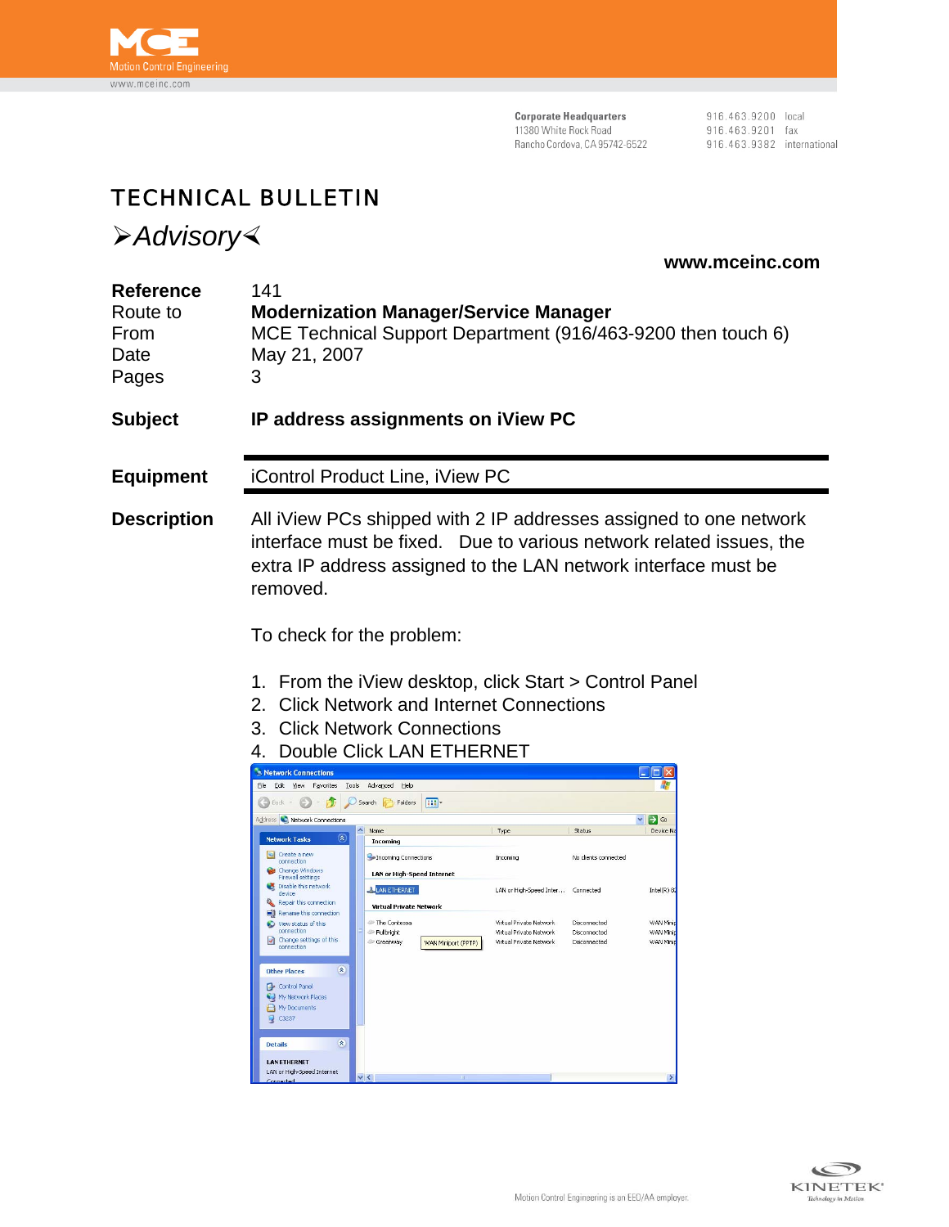

**Corporate Headquarters**<br>11380 White Rock Road Rancho Cordova, CA 95742-6522 916.463.9200 local<br>916.463.9201 fax 916.463.9382 international

## TECHNICAL BULLETIN

¾*Advisory*½

 **www.mceinc.com** 

| <b>Reference</b><br>Route to<br>From<br>Date<br>Pages | 141<br>May 21, 2007<br>3                                                                                                                                                                                                                                                                                                                                                                                                                          | <b>Modernization Manager/Service Manager</b><br>MCE Technical Support Department (916/463-9200 then touch 6) |                                                    |                              |                      |  |  |
|-------------------------------------------------------|---------------------------------------------------------------------------------------------------------------------------------------------------------------------------------------------------------------------------------------------------------------------------------------------------------------------------------------------------------------------------------------------------------------------------------------------------|--------------------------------------------------------------------------------------------------------------|----------------------------------------------------|------------------------------|----------------------|--|--|
| Subject                                               |                                                                                                                                                                                                                                                                                                                                                                                                                                                   | IP address assignments on iView PC                                                                           |                                                    |                              |                      |  |  |
| <b>Equipment</b>                                      |                                                                                                                                                                                                                                                                                                                                                                                                                                                   | iControl Product Line, iView PC                                                                              |                                                    |                              |                      |  |  |
| <b>Description</b>                                    | All iView PCs shipped with 2 IP addresses assigned to one network<br>interface must be fixed. Due to various network related issues, the<br>extra IP address assigned to the LAN network interface must be<br>removed.<br>To check for the problem:<br>1. From the iView desktop, click Start > Control Panel<br><b>Click Network and Internet Connections</b><br>2.<br>3.<br><b>Click Network Connections</b><br>Double Click LAN ETHERNET<br>4. |                                                                                                              |                                                    |                              |                      |  |  |
|                                                       | Network Connections                                                                                                                                                                                                                                                                                                                                                                                                                               |                                                                                                              |                                                    |                              | -  □ ×               |  |  |
|                                                       | Eile Edit View Favorites Tools Advanced Help<br>Back + C + D = D Search B Folders                                                                                                                                                                                                                                                                                                                                                                 | <b>ITT</b>                                                                                                   |                                                    |                              | 4                    |  |  |
|                                                       | Address C Network Connections                                                                                                                                                                                                                                                                                                                                                                                                                     |                                                                                                              |                                                    |                              | $\Rightarrow$ Go     |  |  |
|                                                       | <b>Network Tasks</b><br>$(\hat{\mathbf{x}})$                                                                                                                                                                                                                                                                                                                                                                                                      | Name<br>Incoming                                                                                             | Type                                               | Status                       | Device N             |  |  |
|                                                       | <b>Gy</b> Create a new<br>connection                                                                                                                                                                                                                                                                                                                                                                                                              | Incoming Connections                                                                                         | Incoming                                           | No clients connected         |                      |  |  |
|                                                       | Change Windows<br><b>Firewall settings</b><br>Disable this network                                                                                                                                                                                                                                                                                                                                                                                | <b>LAN or High-Speed Internet</b>                                                                            |                                                    |                              |                      |  |  |
|                                                       | device<br>Repair this connection                                                                                                                                                                                                                                                                                                                                                                                                                  | <b>LAN ETHERNET</b><br><b>Virtual Private Network</b>                                                        | LAN or High-Speed Inter Connected                  |                              | $Intel(R)$ 8.        |  |  |
|                                                       | Rename this connection<br>View status of this                                                                                                                                                                                                                                                                                                                                                                                                     | The Contessa                                                                                                 | Virtual Private Network                            | Disconnected                 | WAN Mini             |  |  |
|                                                       | connection<br>Change settings of this<br>connection                                                                                                                                                                                                                                                                                                                                                                                               | <sup>2</sup> Fullbright<br>Greenway<br>WAN Miniport (PPTP)                                                   | Virtual Private Network<br>Virtual Private Network | Disconnected<br>Disconnected | WAN Mini<br>WAN Mini |  |  |
|                                                       | 楽<br><b>Other Places</b><br>Control Panel<br>My Network Places<br>My Documents<br>C3237                                                                                                                                                                                                                                                                                                                                                           |                                                                                                              |                                                    |                              |                      |  |  |
|                                                       | $\infty$<br><b>Details</b><br><b>LAN ETHERNET</b><br>LAN or High-Speed Internet                                                                                                                                                                                                                                                                                                                                                                   | $\vee$ <                                                                                                     |                                                    |                              |                      |  |  |

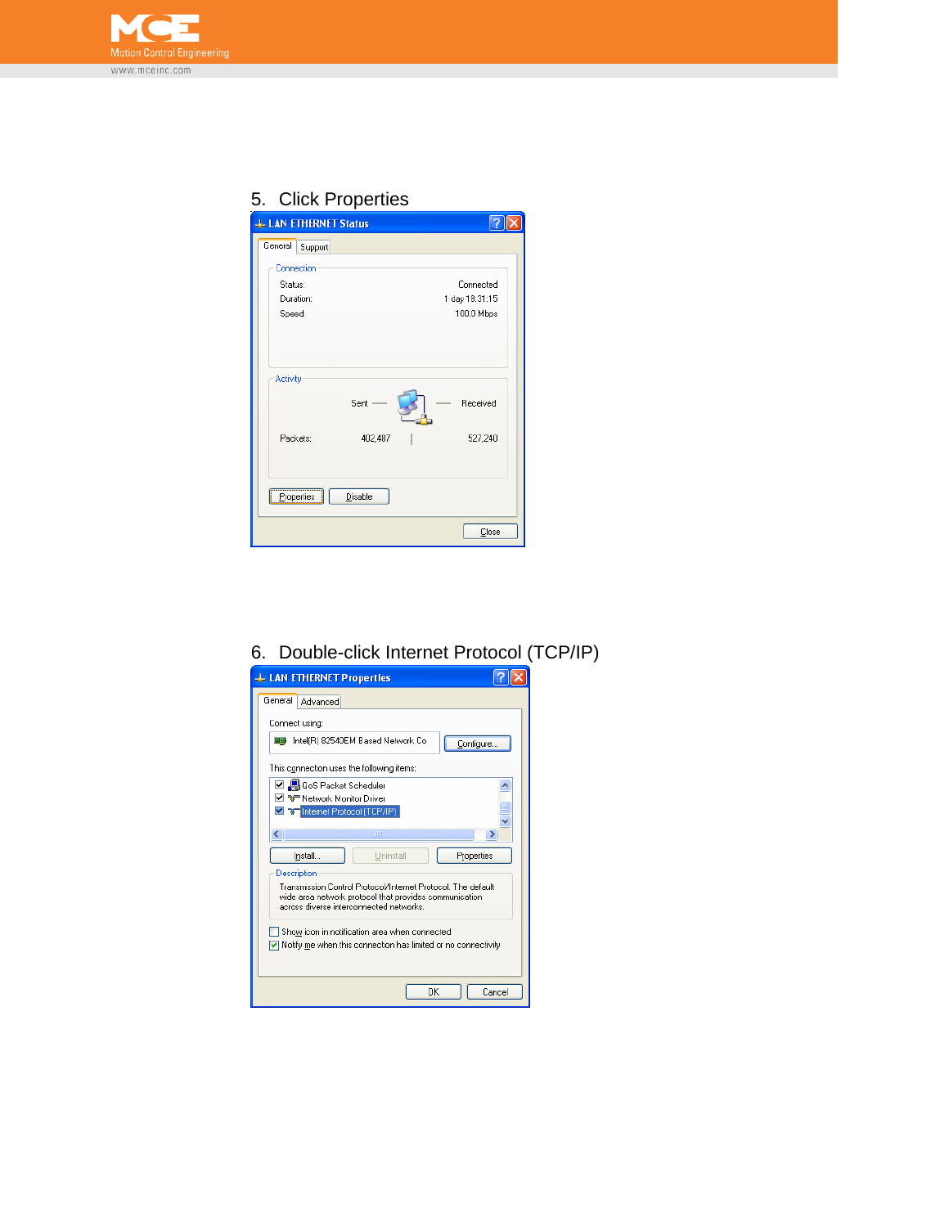

## 5. Click Properties

| <b>LLAN ETHERNET Status</b> |                |  |
|-----------------------------|----------------|--|
| General<br>Support          |                |  |
| Connection                  |                |  |
| Status:                     | Connected      |  |
| Duration:                   | 1 day 18:31:15 |  |
| Speed:                      | 100.0 Mbps     |  |
|                             |                |  |
|                             |                |  |
| Activity                    |                |  |
| Sent                        | Received       |  |
| Packets:<br>402,487         | 527,240        |  |
| Disable<br>Properties       |                |  |
|                             |                |  |
|                             | Close          |  |

## 6. Double-click Internet Protocol (TCP/IP)

| <b>LL LAN ETHERNET Properties</b>                                                                                                                                 |  |  |  |  |  |
|-------------------------------------------------------------------------------------------------------------------------------------------------------------------|--|--|--|--|--|
| General<br>Advanced                                                                                                                                               |  |  |  |  |  |
| Connect using:                                                                                                                                                    |  |  |  |  |  |
| Intel(R) 82540EM Based Network Co<br>田島<br>Configure                                                                                                              |  |  |  |  |  |
| This connection uses the following items:                                                                                                                         |  |  |  |  |  |
| ☑ 및 QoS Packet Scheduler                                                                                                                                          |  |  |  |  |  |
| ☑ <sup>-</sup> अ <sup>-</sup> Network Monitor Driver                                                                                                              |  |  |  |  |  |
| T T Internet Protocol (TCP/IP)                                                                                                                                    |  |  |  |  |  |
| ШI<br>∢<br>⋗                                                                                                                                                      |  |  |  |  |  |
| Hninstall<br>Properties<br>Install                                                                                                                                |  |  |  |  |  |
| Description                                                                                                                                                       |  |  |  |  |  |
| Transmission Control Protocol/Internet Protocol. The default<br>wide area network protocol that provides communication<br>across diverse interconnected networks. |  |  |  |  |  |
| Show icon in notification area when connected<br>$\triangledown$ Notify me when this connection has limited or no connectivity                                    |  |  |  |  |  |
| OK<br>Cancel                                                                                                                                                      |  |  |  |  |  |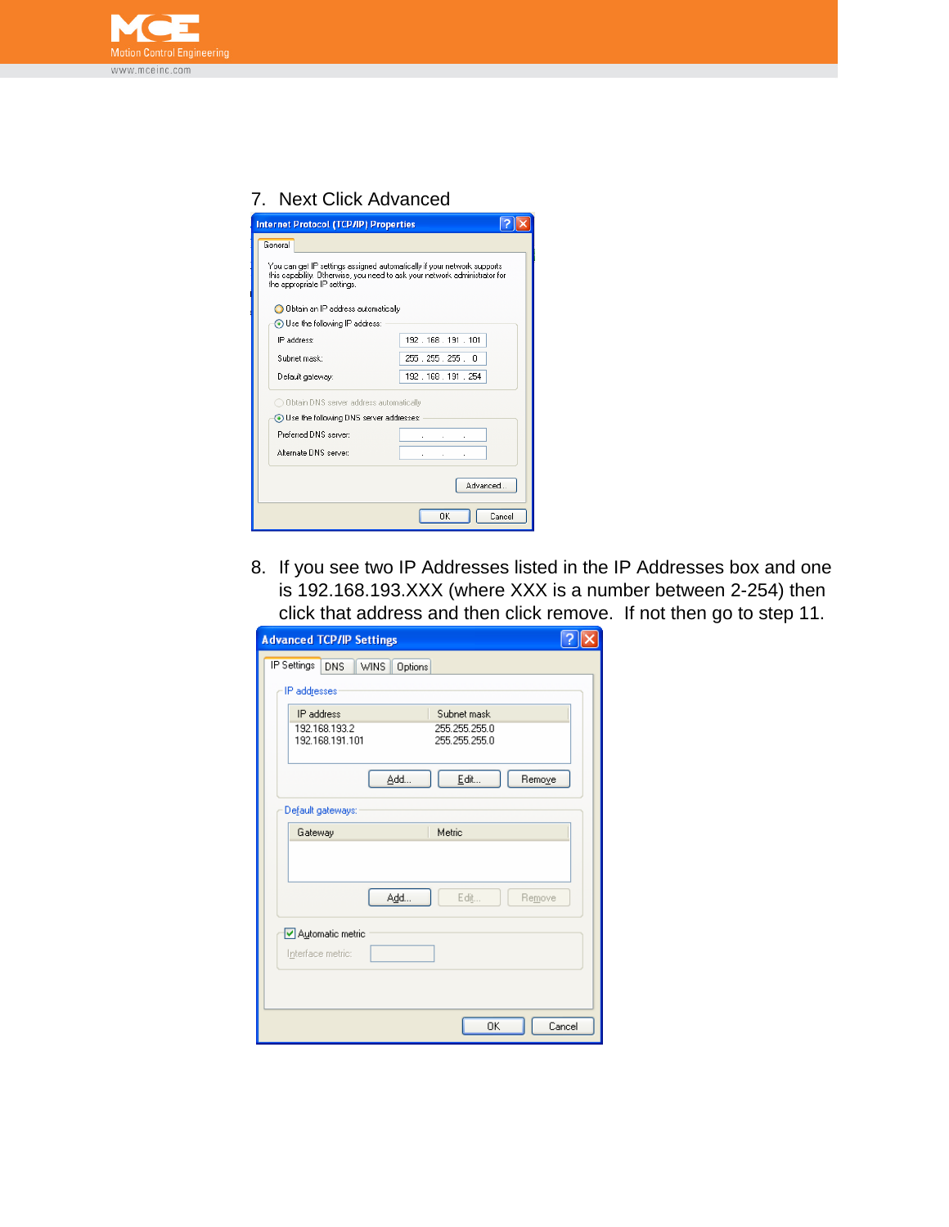

## 7. Next Click Advanced

| <b>Internet Protocol (TCP/IP) Properties</b>                                                                                                                                          |                        |  |  |  |  |  |  |
|---------------------------------------------------------------------------------------------------------------------------------------------------------------------------------------|------------------------|--|--|--|--|--|--|
| General                                                                                                                                                                               |                        |  |  |  |  |  |  |
| You can get IP settings assigned automatically if your network supports<br>this capability. Otherwise, you need to ask your network administrator for<br>the appropriate IP settings. |                        |  |  |  |  |  |  |
| O Obtain an IP address automatically                                                                                                                                                  |                        |  |  |  |  |  |  |
| Use the following IP address:                                                                                                                                                         |                        |  |  |  |  |  |  |
| IP address:                                                                                                                                                                           | 192.168.191.101        |  |  |  |  |  |  |
| Subnet mask:                                                                                                                                                                          | 255 . 255 . 255 .<br>n |  |  |  |  |  |  |
| Default gateway:                                                                                                                                                                      | 192 168 191 254        |  |  |  |  |  |  |
| ◯ Obtain DNS server address automatically                                                                                                                                             |                        |  |  |  |  |  |  |
| Use the following DNS server addresses:                                                                                                                                               |                        |  |  |  |  |  |  |
| Preferred DNS server:                                                                                                                                                                 |                        |  |  |  |  |  |  |
| Alternate DNS server:                                                                                                                                                                 |                        |  |  |  |  |  |  |
| Advanced                                                                                                                                                                              |                        |  |  |  |  |  |  |
| ΟK<br>Cancel                                                                                                                                                                          |                        |  |  |  |  |  |  |

8. If you see two IP Addresses listed in the IP Addresses box and one is 192.168.193.XXX (where XXX is a number between 2-254) then click that address and then click remove. If not then go to step 11.

| <b>Advanced TCP/IP Settings</b>                             |  |
|-------------------------------------------------------------|--|
| IP Settings<br><b>WINS</b><br><b>DNS</b><br>Options         |  |
| IP addresses                                                |  |
| IP address<br>Subnet mask<br>192.168.193.2<br>255.255.255.0 |  |
| 192.168.191.101<br>255.255.255.0                            |  |
| Add<br>Edit<br>Remove                                       |  |
| Default gateways:                                           |  |
| Gateway<br>Metric                                           |  |
| Add<br>Edit<br>Remove                                       |  |
| Automatic metric<br>Interface metric:                       |  |
| 0K<br>Cancel                                                |  |